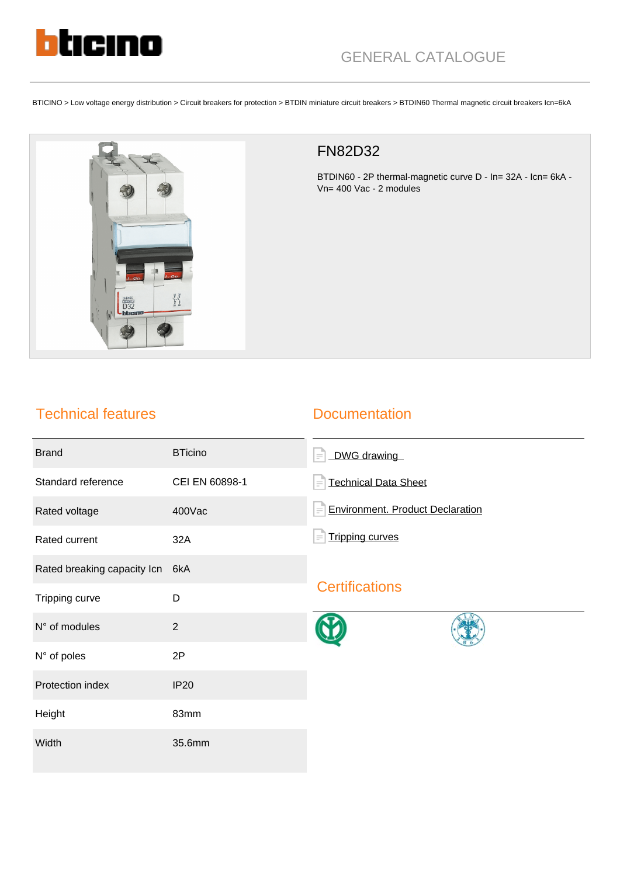

BTICINO > Low voltage energy distribution > Circuit breakers for protection > BTDIN miniature circuit breakers > BTDIN60 Thermal magnetic circuit breakers Icn=6kA



# FN82D32

BTDIN60 - 2P thermal-magnetic curve D - In= 32A - Icn= 6kA - Vn= 400 Vac - 2 modules

# Technical features

### **Documentation**

| <b>Brand</b>                | <b>BTicino</b> | DWG drawing<br>$\equiv$                             |
|-----------------------------|----------------|-----------------------------------------------------|
| Standard reference          | CEI EN 60898-1 | <b>Technical Data Sheet</b><br>$\equiv$             |
| Rated voltage               | 400Vac         | <b>Environment. Product Declaration</b><br>$\equiv$ |
| Rated current               | 32A            | <b>Tripping curves</b>                              |
| Rated breaking capacity Icn | 6kA            | <b>Certifications</b>                               |
| Tripping curve              | D              |                                                     |
| N° of modules               | $\overline{2}$ |                                                     |
| N° of poles                 | 2P             |                                                     |
| Protection index            | <b>IP20</b>    |                                                     |
| Height                      | 83mm           |                                                     |
| Width                       | 35.6mm         |                                                     |